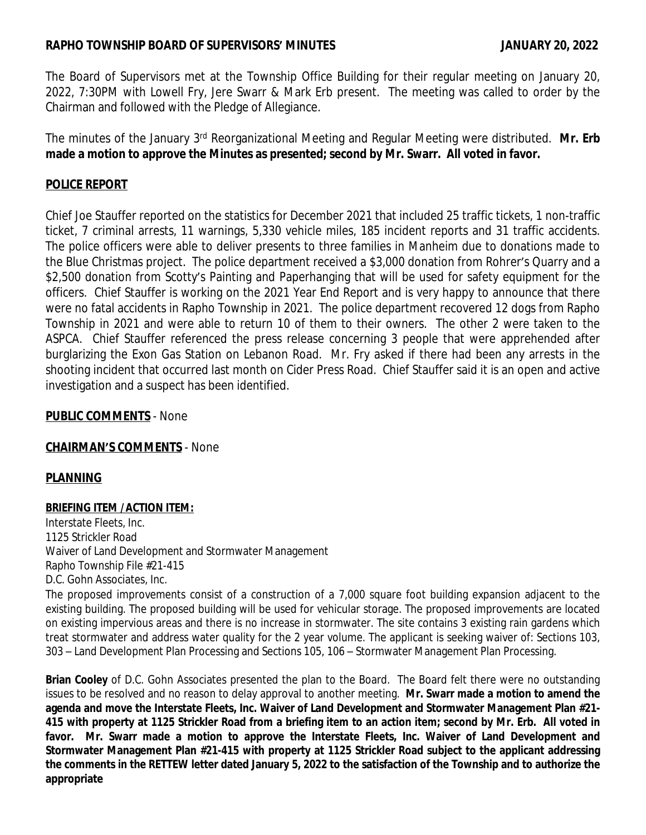## **RAPHO TOWNSHIP BOARD OF SUPERVISORS' MINUTES JANUARY 20, 2022**

The Board of Supervisors met at the Township Office Building for their regular meeting on January 20, 2022, 7:30PM with Lowell Fry, Jere Swarr & Mark Erb present. The meeting was called to order by the Chairman and followed with the Pledge of Allegiance.

The minutes of the January 3<sup>rd</sup> Reorganizational Meeting and Regular Meeting were distributed. **Mr. Erb made a motion to approve the Minutes as presented; second by Mr. Swarr. All voted in favor.**

# **POLICE REPORT**

Chief Joe Stauffer reported on the statistics for December 2021 that included 25 traffic tickets, 1 non-traffic ticket, 7 criminal arrests, 11 warnings, 5,330 vehicle miles, 185 incident reports and 31 traffic accidents. The police officers were able to deliver presents to three families in Manheim due to donations made to the Blue Christmas project. The police department received a \$3,000 donation from Rohrer's Quarry and a \$2,500 donation from Scotty's Painting and Paperhanging that will be used for safety equipment for the officers. Chief Stauffer is working on the 2021 Year End Report and is very happy to announce that there were no fatal accidents in Rapho Township in 2021. The police department recovered 12 dogs from Rapho Township in 2021 and were able to return 10 of them to their owners. The other 2 were taken to the ASPCA. Chief Stauffer referenced the press release concerning 3 people that were apprehended after burglarizing the Exon Gas Station on Lebanon Road. Mr. Fry asked if there had been any arrests in the shooting incident that occurred last month on Cider Press Road. Chief Stauffer said it is an open and active investigation and a suspect has been identified.

## **PUBLIC COMMENTS** - None

## **CHAIRMAN'S COMMENTS** - None

## **PLANNING**

### **BRIEFING ITEM /ACTION ITEM:**

Interstate Fleets, Inc. 1125 Strickler Road Waiver of Land Development and Stormwater Management Rapho Township File #21-415 D.C. Gohn Associates, Inc.

The proposed improvements consist of a construction of a 7,000 square foot building expansion adjacent to the existing building. The proposed building will be used for vehicular storage. The proposed improvements are located on existing impervious areas and there is no increase in stormwater. The site contains 3 existing rain gardens which treat stormwater and address water quality for the 2 year volume. The applicant is seeking waiver of: Sections 103, 303 – Land Development Plan Processing and Sections 105, 106 – Stormwater Management Plan Processing.

**Brian Cooley** of D.C. Gohn Associates presented the plan to the Board. The Board felt there were no outstanding issues to be resolved and no reason to delay approval to another meeting. **Mr. Swarr made a motion to amend the agenda and move the Interstate Fleets, Inc. Waiver of Land Development and Stormwater Management Plan #21-** 415 with property at 1125 Strickler Road from a briefing item to an action item; second by Mr. Erb. All voted in **favor. Mr. Swarr made a motion to approve the Interstate Fleets, Inc. Waiver of Land Development and Stormwater Management Plan #21-415 with property at 1125 Strickler Road subject to the applicant addressing** the comments in the RETTEW letter dated January 5, 2022 to the satisfaction of the Township and to authorize the **appropriate**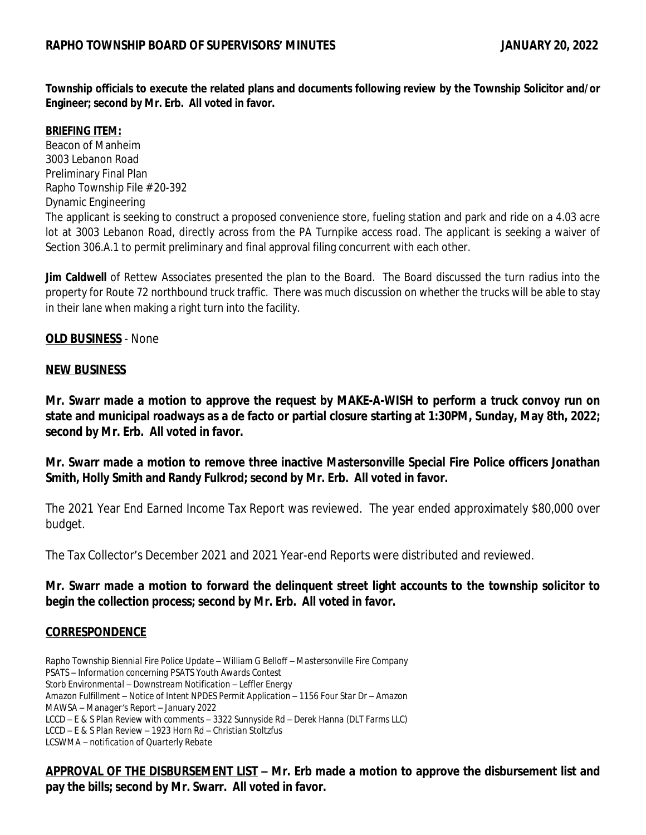**Township officials to execute the related plans and documents following review by the Township Solicitor and/or Engineer; second by Mr. Erb. All voted in favor.**

#### **BRIEFING ITEM:**

Beacon of Manheim 3003 Lebanon Road Preliminary Final Plan Rapho Township File # 20-392 Dynamic Engineering The applicant is seeking to construct a proposed convenience store, fueling station and park and ride on a 4.03 acre lot at 3003 Lebanon Road, directly across from the PA Turnpike access road. The applicant is seeking a waiver of Section 306.A.1 to permit preliminary and final approval filing concurrent with each other.

**Jim Caldwell** of Rettew Associates presented the plan to the Board. The Board discussed the turn radius into the property for Route 72 northbound truck traffic. There was much discussion on whether the trucks will be able to stay in their lane when making a right turn into the facility.

### **OLD BUSINESS** - None

#### **NEW BUSINESS**

**Mr. Swarr made a motion to approve the request by MAKE-A-WISH to perform a truck convoy run on** state and municipal roadways as a de facto or partial closure starting at 1:30PM, Sunday, May 8th, 2022; **second by Mr. Erb. All voted in favor.**

**Mr. Swarr made a motion to remove three inactive Mastersonville Special Fire Police officers Jonathan Smith, Holly Smith and Randy Fulkrod; second by Mr. Erb. All voted in favor.**

The 2021 Year End Earned Income Tax Report was reviewed. The year ended approximately \$80,000 over budget.

The Tax Collector's December 2021 and 2021 Year-end Reports were distributed and reviewed.

**Mr. Swarr made a motion to forward the delinquent street light accounts to the township solicitor to begin the collection process; second by Mr. Erb. All voted in favor.**

### **CORRESPONDENCE**

*Rapho Township Biennial Fire Police Update – William G Belloff – Mastersonville Fire Company PSATS – Information concerning PSATS Youth Awards Contest Storb Environmental – Downstream Notification – Leffler Energy Amazon Fulfillment – Notice of Intent NPDES Permit Application – 1156 Four Star Dr – Amazon MAWSA – Manager's Report – January 2022 LCCD – E & S Plan Review with comments – 3322 Sunnyside Rd – Derek Hanna (DLT Farms LLC) LCCD – E & S Plan Review – 1923 Horn Rd – Christian Stoltzfus LCSWMA – notification of Quarterly Rebate*

**APPROVAL OF THE DISBURSEMENT LIST – Mr. Erb made a motion to approve the disbursement list and pay the bills; second by Mr. Swarr. All voted in favor.**